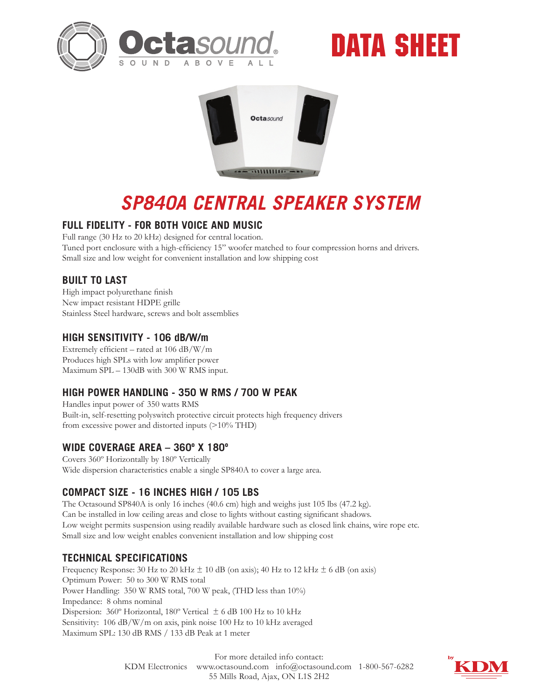





# *SP840A CENTRAL SPEAKER SYSTEM*

## **FULL FIDELITY - FOR BOTH VOICE AND MUSIC**

Full range (30 Hz to 20 kHz) designed for central location. Tuned port enclosure with a high-efficiency 15" woofer matched to four compression horns and drivers. Small size and low weight for convenient installation and low shipping cost

## **BUILT TO LAST**

High impact polyurethane finish New impact resistant HDPE grille Stainless Steel hardware, screws and bolt assemblies

#### **HIGH SENSITIVITY - 106 dB/W/m**

Extremely efficient – rated at 106 dB/W/m Produces high SPLs with low amplifier power Maximum SPL – 130dB with 300 W RMS input.

## **HIGH POWER HANDLING - 350 W RMS / 700 W PEAK**

Handles input power of 350 watts RMS Built-in, self-resetting polyswitch protective circuit protects high frequency drivers from excessive power and distorted inputs (>10% THD)

#### **WIDE COVERAGE AREA – 360º X 180º**

Covers 360º Horizontally by 180º Vertically Wide dispersion characteristics enable a single SP840A to cover a large area.

## **COMPACT SIZE - 16 INCHES HIGH / 105 LBS**

The Octasound SP840A is only 16 inches (40.6 cm) high and weighs just 105 lbs (47.2 kg). Can be installed in low ceiling areas and close to lights without casting significant shadows. Low weight permits suspension using readily available hardware such as closed link chains, wire rope etc. Small size and low weight enables convenient installation and low shipping cost

## **TECHNICAL SPECIFICATIONS**

Frequency Response: 30 Hz to 20 kHz  $\pm$  10 dB (on axis); 40 Hz to 12 kHz  $\pm$  6 dB (on axis) Optimum Power: 50 to 300 W RMS total Power Handling: 350 W RMS total, 700 W peak, (THD less than 10%) Impedance: 8 ohms nominal Dispersion: 360º Horizontal, 180º Vertical ± 6 dB 100 Hz to 10 kHz Sensitivity: 106 dB/W/m on axis, pink noise 100 Hz to 10 kHz averaged Maximum SPL: 130 dB RMS / 133 dB Peak at 1 meter